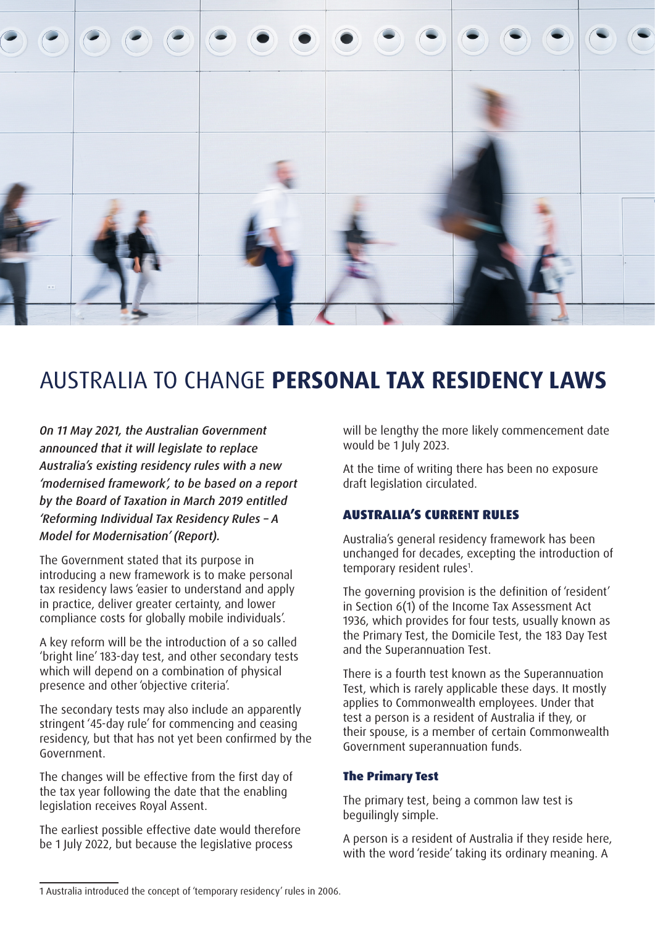

# AUSTRALIA TO CHANGE **PERSONAL TAX RESIDENCY LAWS**

*On 11 May 2021, the Australian Government announced that it will legislate to replace Australia's existing residency rules with a new 'modernised framework', to be based on a report by the Board of Taxation in March 2019 entitled 'Reforming Individual Tax Residency Rules – A Model for Modernisation' (Report).*

The Government stated that its purpose in introducing a new framework is to make personal tax residency laws 'easier to understand and apply in practice, deliver greater certainty, and lower compliance costs for globally mobile individuals'.

A key reform will be the introduction of a so called 'bright line' 183-day test, and other secondary tests which will depend on a combination of physical presence and other 'objective criteria'.

The secondary tests may also include an apparently stringent '45-day rule' for commencing and ceasing residency, but that has not yet been confirmed by the Government.

The changes will be effective from the first day of the tax year following the date that the enabling legislation receives Royal Assent.

The earliest possible effective date would therefore be 1 July 2022, but because the legislative process

will be lengthy the more likely commencement date would be 1 July 2023.

At the time of writing there has been no exposure draft legislation circulated.

### AUSTRALIA'S CURRENT RULES

Australia's general residency framework has been unchanged for decades, excepting the introduction of temporary resident rules<sup>1</sup>.

The governing provision is the definition of 'resident' in Section 6(1) of the Income Tax Assessment Act 1936, which provides for four tests, usually known as the Primary Test, the Domicile Test, the 183 Day Test and the Superannuation Test.

There is a fourth test known as the Superannuation Test, which is rarely applicable these days. It mostly applies to Commonwealth employees. Under that test a person is a resident of Australia if they, or their spouse, is a member of certain Commonwealth Government superannuation funds.

#### The Primary Test

The primary test, being a common law test is beguilingly simple.

A person is a resident of Australia if they reside here, with the word 'reside' taking its ordinary meaning. A

<sup>1</sup> Australia introduced the concept of 'temporary residency' rules in 2006.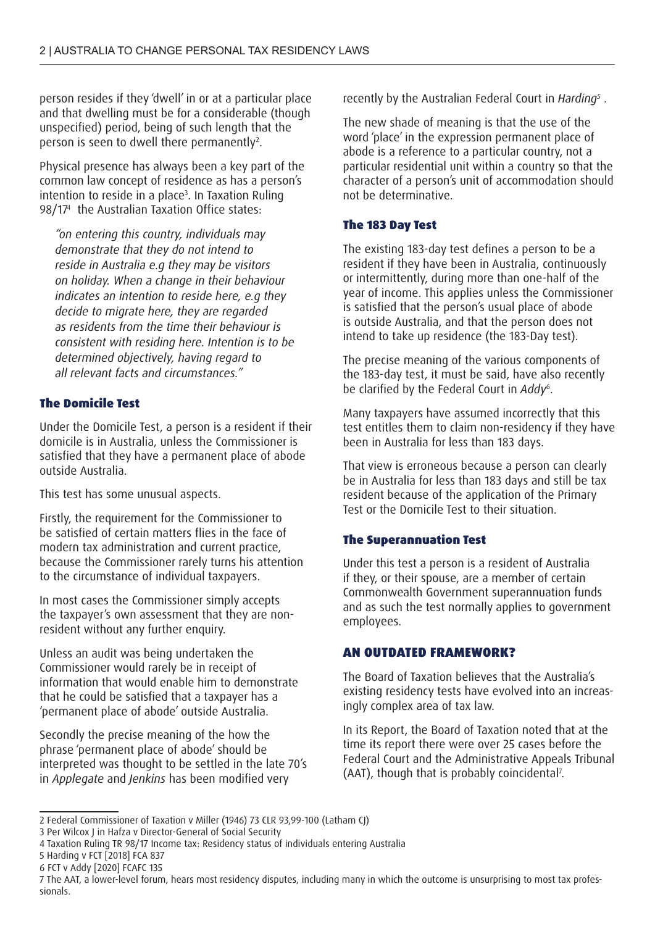person resides if they 'dwell' in or at a particular place and that dwelling must be for a considerable (though unspecified) period, being of such length that the person is seen to dwell there permanently<sup>2</sup>.

Physical presence has always been a key part of the common law concept of residence as has a person's intention to reside in a place3 . In Taxation Ruling 98/174 the Australian Taxation Office states:

*"on entering this country, individuals may demonstrate that they do not intend to reside in Australia e.g they may be visitors on holiday. When a change in their behaviour indicates an intention to reside here, e.g they decide to migrate here, they are regarded as residents from the time their behaviour is consistent with residing here. Intention is to be determined objectively, having regard to all relevant facts and circumstances."*

### The Domicile Test

Under the Domicile Test, a person is a resident if their domicile is in Australia, unless the Commissioner is satisfied that they have a permanent place of abode outside Australia.

This test has some unusual aspects.

Firstly, the requirement for the Commissioner to be satisfied of certain matters flies in the face of modern tax administration and current practice, because the Commissioner rarely turns his attention to the circumstance of individual taxpayers.

In most cases the Commissioner simply accepts the taxpayer's own assessment that they are nonresident without any further enquiry.

Unless an audit was being undertaken the Commissioner would rarely be in receipt of information that would enable him to demonstrate that he could be satisfied that a taxpayer has a 'permanent place of abode' outside Australia.

Secondly the precise meaning of the how the phrase 'permanent place of abode' should be interpreted was thought to be settled in the late 70's in *Applegate* and *Jenkins* has been modified very

recently by the Australian Federal Court in *Harding5* .

The new shade of meaning is that the use of the word 'place' in the expression permanent place of abode is a reference to a particular country, not a particular residential unit within a country so that the character of a person's unit of accommodation should not be determinative.

## The 183 Day Test

The existing 183-day test defines a person to be a resident if they have been in Australia, continuously or intermittently, during more than one-half of the year of income. This applies unless the Commissioner is satisfied that the person's usual place of abode is outside Australia, and that the person does not intend to take up residence (the 183-Day test).

The precise meaning of the various components of the 183-day test, it must be said, have also recently be clarified by the Federal Court in *Addy*<sup>6</sup> .

Many taxpayers have assumed incorrectly that this test entitles them to claim non-residency if they have been in Australia for less than 183 days.

That view is erroneous because a person can clearly be in Australia for less than 183 days and still be tax resident because of the application of the Primary Test or the Domicile Test to their situation.

### The Superannuation Test

Under this test a person is a resident of Australia if they, or their spouse, are a member of certain Commonwealth Government superannuation funds and as such the test normally applies to government employees.

### AN OUTDATED FRAMEWORK?

The Board of Taxation believes that the Australia's existing residency tests have evolved into an increasingly complex area of tax law.

In its Report, the Board of Taxation noted that at the time its report there were over 25 cases before the Federal Court and the Administrative Appeals Tribunal (AAT), though that is probably coincidental7 .

<sup>2</sup> Federal Commissioner of Taxation v Miller (1946) 73 CLR 93,99-100 (Latham CJ)

<sup>3</sup> Per Wilcox J in Hafza v Director-General of Social Security

<sup>4</sup> Taxation Ruling TR 98/17 Income tax: Residency status of individuals entering Australia

<sup>5</sup> Harding v FCT [2018] FCA 837

<sup>6</sup> FCT v Addy [2020] FCAFC 135

<sup>7</sup> The AAT, a lower-level forum, hears most residency disputes, including many in which the outcome is unsurprising to most tax professionals.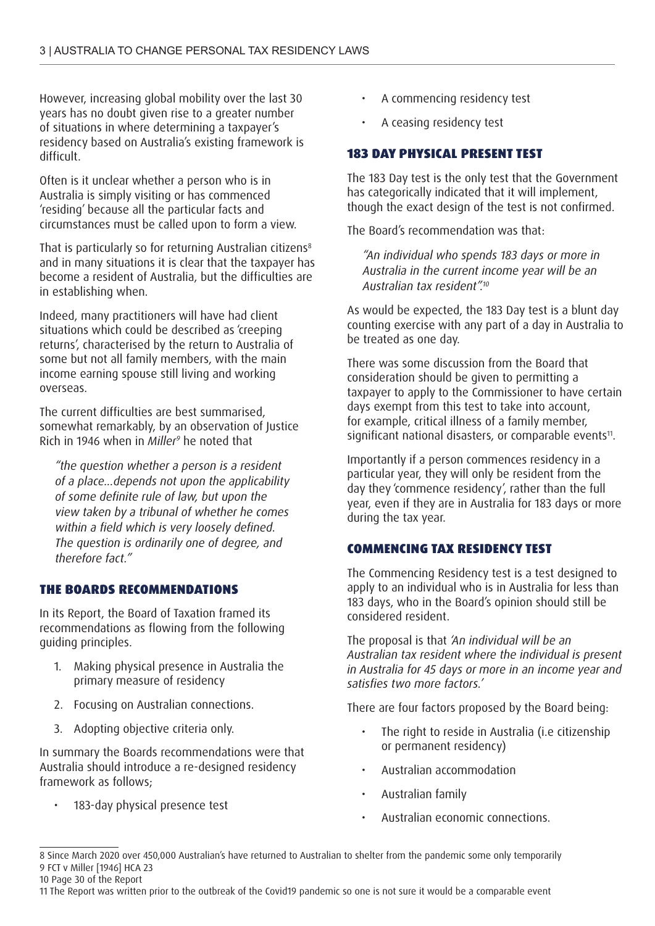However, increasing global mobility over the last 30 years has no doubt given rise to a greater number of situations in where determining a taxpayer's residency based on Australia's existing framework is difficult.

Often is it unclear whether a person who is in Australia is simply visiting or has commenced 'residing' because all the particular facts and circumstances must be called upon to form a view.

That is particularly so for returning Australian citizens<sup>8</sup> and in many situations it is clear that the taxpayer has become a resident of Australia, but the difficulties are in establishing when.

Indeed, many practitioners will have had client situations which could be described as 'creeping returns', characterised by the return to Australia of some but not all family members, with the main income earning spouse still living and working overseas.

The current difficulties are best summarised, somewhat remarkably, by an observation of Justice Rich in 1946 when in *Miller9* he noted that

*"the question whether a person is a resident of a place...depends not upon the applicability of some definite rule of law, but upon the view taken by a tribunal of whether he comes within a field which is very loosely defined. The question is ordinarily one of degree, and therefore fact."*

### THE BOARDS RECOMMENDATIONS

In its Report, the Board of Taxation framed its recommendations as flowing from the following guiding principles.

- 1. Making physical presence in Australia the primary measure of residency
- 2. Focusing on Australian connections.
- 3. Adopting objective criteria only.

In summary the Boards recommendations were that Australia should introduce a re-designed residency framework as follows;

183-day physical presence test

- A commencing residency test
- A ceasing residency test

### 183 DAY PHYSICAL PRESENT TEST

The 183 Day test is the only test that the Government has categorically indicated that it will implement, though the exact design of the test is not confirmed.

The Board's recommendation was that:

*"An individual who spends 183 days or more in Australia in the current income year will be an Australian tax resident".10* 

As would be expected, the 183 Day test is a blunt day counting exercise with any part of a day in Australia to be treated as one day.

There was some discussion from the Board that consideration should be given to permitting a taxpayer to apply to the Commissioner to have certain days exempt from this test to take into account, for example, critical illness of a family member, significant national disasters, or comparable events<sup>11</sup>.

Importantly if a person commences residency in a particular year, they will only be resident from the day they 'commence residency', rather than the full year, even if they are in Australia for 183 days or more during the tax year.

## COMMENCING TAX RESIDENCY TEST

The Commencing Residency test is a test designed to apply to an individual who is in Australia for less than 183 days, who in the Board's opinion should still be considered resident.

The proposal is that *'An individual will be an Australian tax resident where the individual is present in Australia for 45 days or more in an income year and satisfies two more factors.'*

There are four factors proposed by the Board being:

- The right to reside in Australia (i.e citizenship or permanent residency)
- Australian accommodation
- Australian family
- Australian economic connections.

<sup>8</sup> Since March 2020 over 450,000 Australian's have returned to Australian to shelter from the pandemic some only temporarily 9 FCT v Miller [1946] HCA 23

<sup>10</sup> Page 30 of the Report

<sup>11</sup> The Report was written prior to the outbreak of the Covid19 pandemic so one is not sure it would be a comparable event